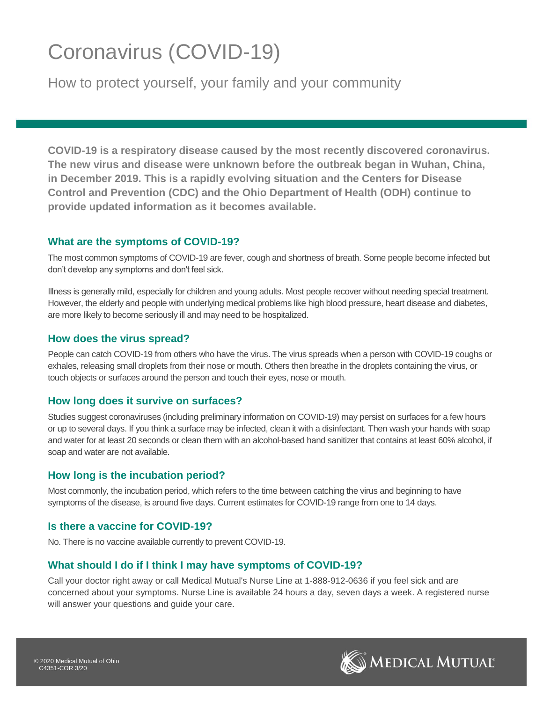# Coronavirus (COVID-19)

How to protect yourself, your family and your community

**COVID-19 is a respiratory disease caused by the most recently discovered coronavirus. The new virus and disease were unknown before the outbreak began in Wuhan, China, in December 2019. This is a rapidly evolving situation and the Centers for Disease Control and Prevention (CDC) and the Ohio Department of Health (ODH) continue to provide updated information as it becomes available.** 

#### **What are the symptoms of COVID-19?**

The most common symptoms of COVID-19 are fever, cough and shortness of breath. Some people become infected but don't develop any symptoms and don't feel sick.

Illness is generally mild, especially for children and young adults. Most people recover without needing special treatment. However, the elderly and people with underlying medical problems like high blood pressure, heart disease and diabetes, are more likely to become seriously ill and may need to be hospitalized.

## **How does the virus spread?**

People can catch COVID-19 from others who have the virus. The virus spreads when a person with COVID-19 coughs or exhales, releasing small droplets from their nose or mouth. Others then breathe in the droplets containing the virus, or touch objects or surfaces around the person and touch their eyes, nose or mouth.

## **How long does it survive on surfaces?**

Studies suggest coronaviruses (including preliminary information on COVID-19) may persist on surfaces for a few hours or up to several days. If you think a surface may be infected, clean it with a disinfectant. Then wash your hands with soap and water for at least 20 seconds or clean them with an alcohol-based hand sanitizer that contains at least 60% alcohol, if soap and water are not available.

## **How long is the incubation period?**

Most commonly, the incubation period, which refers to the time between catching the virus and beginning to have symptoms of the disease, is around five days. Current estimates for COVID-19 range from one to 14 days.

## **Is there a vaccine for COVID-19?**

No. There is no vaccine available currently to prevent COVID-19.

## **What should I do if I think I may have symptoms of COVID-19?**

Call your doctor right away or call Medical Mutual's Nurse Line at 1-888-912-0636 if you feel sick and are concerned about your symptoms. Nurse Line is available 24 hours a day, seven days a week. A registered nurse will answer your questions and guide your care.